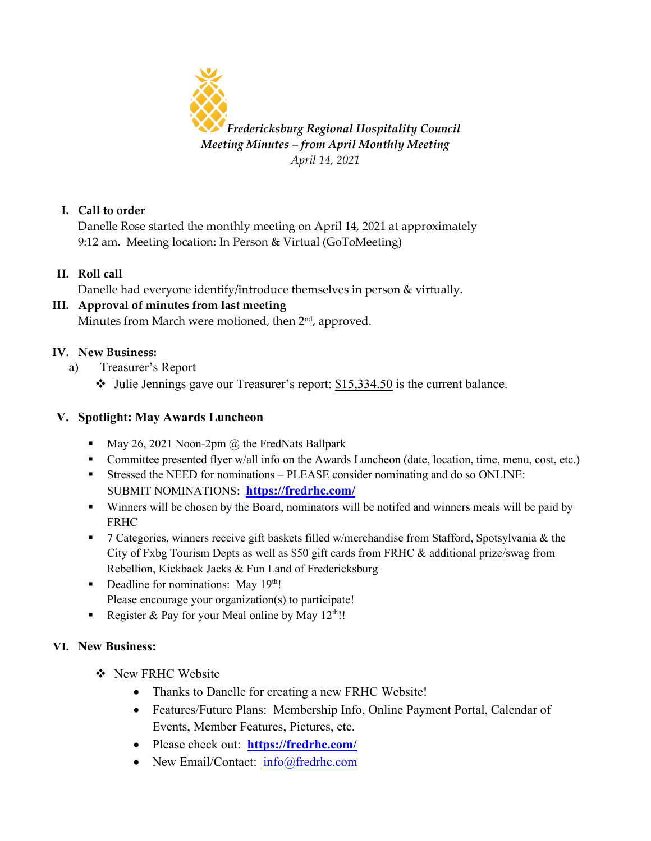

### **I. Call to order**

Danelle Rose started the monthly meeting on April 14, 2021 at approximately 9:12 am. Meeting location: In Person & Virtual (GoToMeeting)

**II. Roll call**

Danelle had everyone identify/introduce themselves in person & virtually.

# **III. Approval of minutes from last meeting**

Minutes from March were motioned, then  $2<sup>nd</sup>$ , approved.

### **IV. New Business:**

- a) Treasurer's Report
	- $\cdot$  Julie Jennings gave our Treasurer's report:  $$15,334.50$  is the current balance.

# **V. Spotlight: May Awards Luncheon**

- May 26, 2021 Noon-2pm  $\omega$  the FredNats Ballpark
- Committee presented flyer w/all info on the Awards Luncheon (date, location, time, menu, cost, etc.)
- Stressed the NEED for nominations PLEASE consider nominating and do so ONLINE: SUBMIT NOMINATIONS: **<https://fredrhc.com/>**
- Winners will be chosen by the Board, nominators will be notifed and winners meals will be paid by FRHC
- 7 Categories, winners receive gift baskets filled w/merchandise from Stafford, Spotsylvania & the City of Fxbg Tourism Depts as well as \$50 gift cards from FRHC & additional prize/swag from Rebellion, Kickback Jacks & Fun Land of Fredericksburg
- Deadline for nominations: May  $19<sup>th</sup>$ ! Please encourage your organization(s) to participate!
- Register & Pay for your Meal online by May  $12^{\text{th}}$ !!

# **VI. New Business:**

- ❖ New FRHC Website
	- Thanks to Danelle for creating a new FRHC Website!
	- Features/Future Plans: Membership Info, Online Payment Portal, Calendar of Events, Member Features, Pictures, etc.
	- Please check out: **<https://fredrhc.com/>**
	- New Email/Contact: [info@fredrhc.com](mailto:info@fredrhc.com)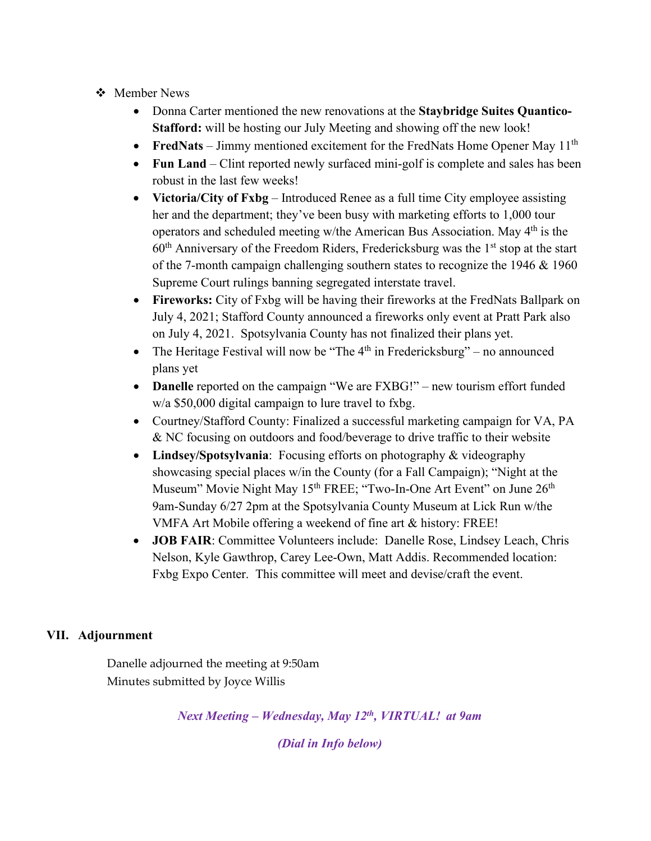#### ❖ Member News

- Donna Carter mentioned the new renovations at the **Staybridge Suites Quantico-Stafford:** will be hosting our July Meeting and showing off the new look!
- **FredNats** Jimmy mentioned excitement for the FredNats Home Opener May 11<sup>th</sup>
- **Fun Land** Clint reported newly surfaced mini-golf is complete and sales has been robust in the last few weeks!
- **Victoria/City of Fxbg** Introduced Renee as a full time City employee assisting her and the department; they've been busy with marketing efforts to 1,000 tour operators and scheduled meeting w/the American Bus Association. May 4th is the  $60<sup>th</sup>$  Anniversary of the Freedom Riders, Fredericksburg was the  $1<sup>st</sup>$  stop at the start of the 7-month campaign challenging southern states to recognize the 1946 & 1960 Supreme Court rulings banning segregated interstate travel.
- **Fireworks:** City of Fxbg will be having their fireworks at the FredNats Ballpark on July 4, 2021; Stafford County announced a fireworks only event at Pratt Park also on July 4, 2021. Spotsylvania County has not finalized their plans yet.
- The Heritage Festival will now be "The  $4<sup>th</sup>$  in Fredericksburg" no announced plans yet
- **Danelle** reported on the campaign "We are FXBG!" new tourism effort funded w/a \$50,000 digital campaign to lure travel to fxbg.
- Courtney/Stafford County: Finalized a successful marketing campaign for VA, PA & NC focusing on outdoors and food/beverage to drive traffic to their website
- **Lindsey/Spotsylvania**: Focusing efforts on photography & videography showcasing special places w/in the County (for a Fall Campaign); "Night at the Museum" Movie Night May 15<sup>th</sup> FREE; "Two-In-One Art Event" on June 26<sup>th</sup> 9am-Sunday 6/27 2pm at the Spotsylvania County Museum at Lick Run w/the VMFA Art Mobile offering a weekend of fine art & history: FREE!
- **JOB FAIR**: Committee Volunteers include: Danelle Rose, Lindsey Leach, Chris Nelson, Kyle Gawthrop, Carey Lee-Own, Matt Addis. Recommended location: Fxbg Expo Center. This committee will meet and devise/craft the event.

#### **VII. Adjournment**

Danelle adjourned the meeting at 9:50am Minutes submitted by Joyce Willis

*Next Meeting – Wednesday, May 12th, VIRTUAL! at 9am* 

*(Dial in Info below)*